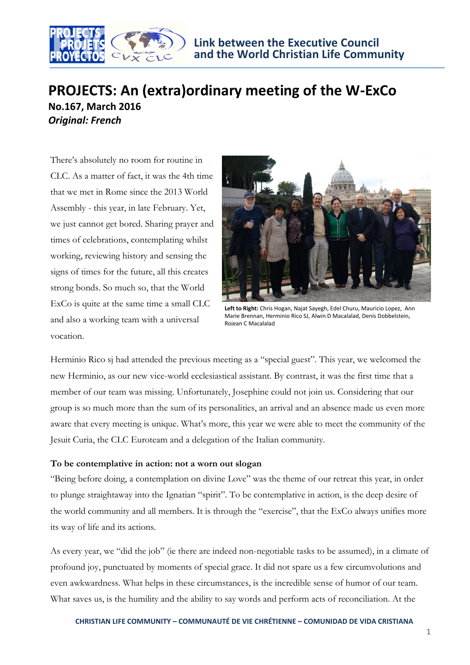

## **PROJECTS: An (extra)ordinary meeting of the W-ExCo No.167, March 2016**

*Original: French*

There's absolutely no room for routine in CLC. As a matter of fact, it was the 4th time that we met in Rome since the 2013 World Assembly - this year, in late February. Yet, we just cannot get bored. Sharing prayer and times of celebrations, contemplating whilst working, reviewing history and sensing the signs of times for the future, all this creates strong bonds. So much so, that the World ExCo is quite at the same time a small CLC and also a working team with a universal vocation.



**Left to Right:** Chris Hogan, Najat Sayegh, Edel Churu, Mauricio Lopez, Ann Marie Brennan, Herminio Rico SJ, Alwin D Macalalad, Denis Dobbelstein, Rojean C Macalalad

Herminio Rico sj had attended the previous meeting as a "special guest". This year, we welcomed the new Herminio, as our new vice-world ecclesiastical assistant. By contrast, it was the first time that a member of our team was missing. Unfortunately, Josephine could not join us. Considering that our group is so much more than the sum of its personalities, an arrival and an absence made us even more aware that every meeting is unique. What's more, this year we were able to meet the community of the Jesuit Curia, the CLC Euroteam and a delegation of the Italian community.

## **To be contemplative in action: not a worn out slogan**

"Being before doing, a contemplation on divine Love" was the theme of our retreat this year, in order to plunge straightaway into the Ignatian "spirit". To be contemplative in action, is the deep desire of the world community and all members. It is through the "exercise", that the ExCo always unifies more its way of life and its actions.

As every year, we "did the job" (ie there are indeed non-negotiable tasks to be assumed), in a climate of profound joy, punctuated by moments of special grace. It did not spare us a few circumvolutions and even awkwardness. What helps in these circumstances, is the incredible sense of humor of our team. What saves us, is the humility and the ability to say words and perform acts of reconciliation. At the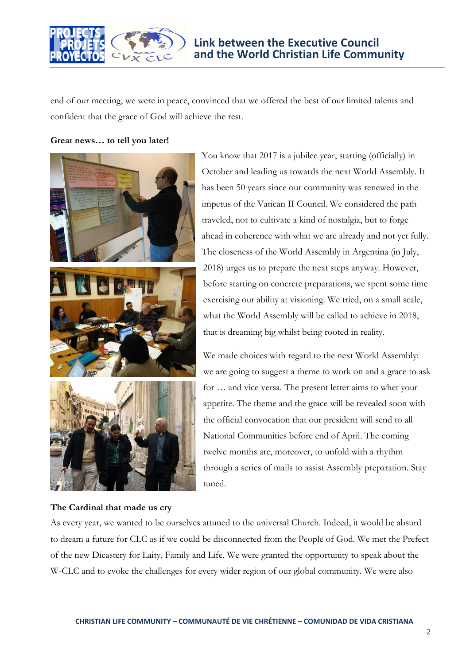

end of our meeting, we were in peace, convinced that we offered the best of our limited talents and confident that the grace of God will achieve the rest.

**Great news… to tell you later!**



## **The Cardinal that made us cry**

You know that 2017 is a jubilee year, starting (officially) in October and leading us towards the next World Assembly. It has been 50 years since our community was renewed in the impetus of the Vatican II Council. We considered the path traveled, not to cultivate a kind of nostalgia, but to forge ahead in coherence with what we are already and not yet fully. The closeness of the World Assembly in Argentina (in July, 2018) urges us to prepare the next steps anyway. However, before starting on concrete preparations, we spent some time exercising our ability at visioning. We tried, on a small scale, what the World Assembly will be called to achieve in 2018, that is dreaming big whilst being rooted in reality.

We made choices with regard to the next World Assembly: we are going to suggest a theme to work on and a grace to ask for … and vice versa. The present letter aims to whet your appetite. The theme and the grace will be revealed soon with the official convocation that our president will send to all National Communities before end of April. The coming twelve months are, moreover, to unfold with a rhythm through a series of mails to assist Assembly preparation. Stay tuned.

As every year, we wanted to be ourselves attuned to the universal Church. Indeed, it would be absurd to dream a future for CLC as if we could be disconnected from the People of God. We met the Prefect of the new Dicastery for Laity, Family and Life. We were granted the opportunity to speak about the W-CLC and to evoke the challenges for every wider region of our global community. We were also